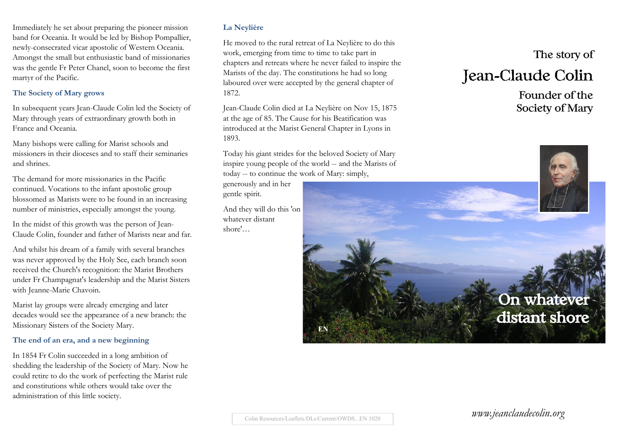Immediately he set about preparing the pioneer mission band for Oceania. It would be led by Bishop Pompallier, newly-consecrated vicar apostolic of Western Oceania. Amongst the small but enthusiastic band of missionaries was the gentle Fr Peter Chanel, soon to become the first martyr of the Pacific.

#### **The Society of Mary grows**

In subsequent years Jean-Claude Colin led the Society of Mary through years of extraordinary growth both in France and Oceania.

Many bishops were calling for Marist schools and missioners in their dioceses and to staff their seminaries and shrines.

The demand for more missionaries in the Pacific continued. Vocations to the infant apostolic group blossomed as Marists were to be found in an increasing number of ministries, especially amongst the young.

In the midst of this growth was the person of Jean-Claude Colin, founder and father of Marists near and far.

And whilst his dream of a family with several branches was never approved by the Holy See, each branch soon received the Church's recognition: the Marist Brothers under Fr Champagnat's leadership and the Marist Sisters with Jeanne-Marie Chavoin.

Marist lay groups were already emerging and later decades would see the appearance of a new branch: the Missionary Sisters of the Society Mary.

#### **The end of an era, and a new beginning**

In 1854 Fr Colin succeeded in a long ambition of shedding the leadership of the Society of Mary. Now he could retire to do the work of perfecting the Marist rule and constitutions while others would take over the administration of this little society.

#### **La Neylière**

He moved to the rural retreat of La Neylière to do this work, emerging from time to time to take part in chapters and retreats where he never failed to inspire the Marists of the day. The constitutions he had so long laboured over were accepted by the general chapter of 1872.

Jean-Claude Colin died at La Neylière on Nov 15, 1875 at the age of 85. The Cause for his Beatification was introduced at the Marist General Chapter in Lyons in 1893.

Today his giant strides for the beloved Society of Mary inspire young people of the world -- and the Marists of today -- to continue the work of Mary: simply,

generously and in her gentle spirit.

And they will do this 'on whatever distant shore'…

# The story of

# Jean-Claude Colin

Founder of the Society of Mary



*www.jeanclaudecolin.org*